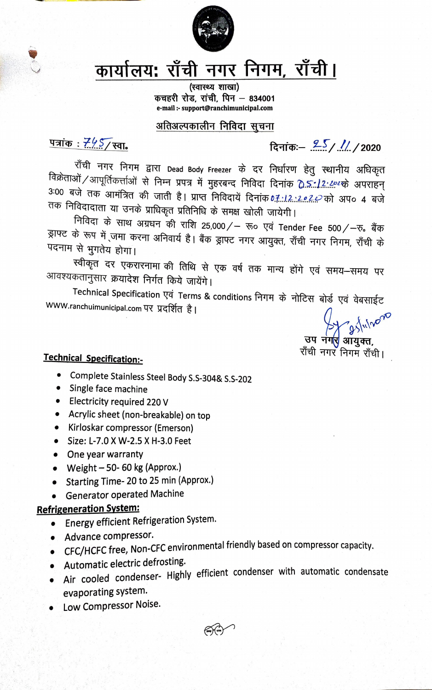

# कार्यालय: राँची नगर निगम, राँची।

(स्वास्थ्य शाखा) कचहरी रोड, रांची, पिन - 834001 e-mail :- support@ranchimunicipal.com

#### अतिअल्पकालीन निविदा सूचना

<u> पत्रांक : 7457</u> स्वा.

दिनांकः –  $25/$  // / 2020

राँची नगर निगम द्वारा Dead Body Freezer के दर निर्धारण हेतु स्थानीय अधिकृत विक्रेताओं /आपूर्तिकर्त्ताओं से निम्न प्रपत्र में मुहरबन्द निविदा दिनांक <u>�े.ऽ.:12:29</u>2क्के अपराहन् 3:00 बजे तक आमंत्रित की जाती है। प्राप्त निविदायें दिनांक 0.7.:1.2.:2.e.2.e को अप० 4 बजे तक निविदादाता या उनके प्राधिकृत प्रतिनिधि के समक्ष खोली जायेगी।

निविदा के साथ अग्रधन की राशि 25,000/– रू० एवं Tender Fee 500/–रु. बैंक ड्राफ्ट के रूप में जमा करना अनिवार्य है। बैंक ड्राफ्ट नगर आयुक्त, राँची नगर निगम, राँची के पदनाम से भुगतेय होगा।

स्वीकृत दर एकरारनामा की तिथि से एक वर्ष तक मान्य होंगे एवं समय—समय पर आवश्यकतानुसार क्रयादेश निर्गत किये जायेंगे।

Technical Specification एवं Terms & conditions निगम के नोटिस बोर्ड एवं वेबसाईट WWW.ranchuimunicipal.com पर प्रदर्शित है।

3 Julvo उप नग<mark>र</mark> ऑयुक्त,

राँची नगर निगम राँची।

### **Technical Specification:-**

- $\bullet$ Complete Stainless Steel Body S.S-304& S.S-202
- Single face machine
- Electricity required 220 V
- Acrylic sheet (non-breakable) on top
- Kirloskar compressor (Emerson)
- Size: L-7.0 X W-2.5 X H-3.0 Feet
- One year warranty
- Weight  $-50-60$  kg (Approx.)
- Starting Time-20 to 25 min (Approx.)
- Generator operated Machine

### **Refrigeneration System:**

- Energy efficient Refrigeration System.
- · Advance compressor.
- CFC/HCFC free, Non-CFC environmental friendly based on compressor capacity.
- · Automatic electric defrosting.
- Air cooled condenser- Highly efficient condenser with automatic condensate evaporating system.
- Low Compressor Noise.